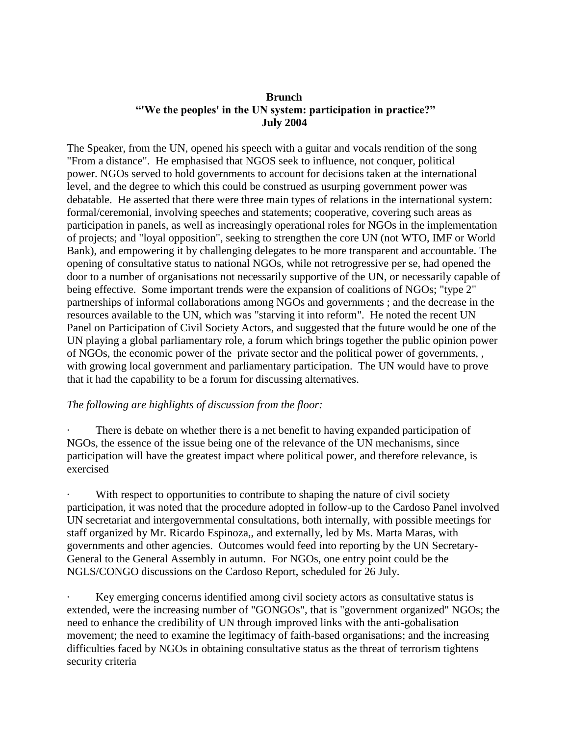## **Brunch "'We the peoples' in the UN system: participation in practice?" July 2004**

The Speaker, from the UN, opened his speech with a guitar and vocals rendition of the song "From a distance". He emphasised that NGOS seek to influence, not conquer, political power. NGOs served to hold governments to account for decisions taken at the international level, and the degree to which this could be construed as usurping government power was debatable. He asserted that there were three main types of relations in the international system: formal/ceremonial, involving speeches and statements; cooperative, covering such areas as participation in panels, as well as increasingly operational roles for NGOs in the implementation of projects; and "loyal opposition", seeking to strengthen the core UN (not WTO, IMF or World Bank), and empowering it by challenging delegates to be more transparent and accountable. The opening of consultative status to national NGOs, while not retrogressive per se, had opened the door to a number of organisations not necessarily supportive of the UN, or necessarily capable of being effective. Some important trends were the expansion of coalitions of NGOs; "type 2" partnerships of informal collaborations among NGOs and governments ; and the decrease in the resources available to the UN, which was "starving it into reform". He noted the recent UN Panel on Participation of Civil Society Actors, and suggested that the future would be one of the UN playing a global parliamentary role, a forum which brings together the public opinion power of NGOs, the economic power of the private sector and the political power of governments, , with growing local government and parliamentary participation. The UN would have to prove that it had the capability to be a forum for discussing alternatives.

## *The following are highlights of discussion from the floor:*

There is debate on whether there is a net benefit to having expanded participation of NGOs, the essence of the issue being one of the relevance of the UN mechanisms, since participation will have the greatest impact where political power, and therefore relevance, is exercised

With respect to opportunities to contribute to shaping the nature of civil society participation, it was noted that the procedure adopted in follow-up to the Cardoso Panel involved UN secretariat and intergovernmental consultations, both internally, with possible meetings for staff organized by Mr. Ricardo Espinoza,, and externally, led by Ms. Marta Maras, with governments and other agencies. Outcomes would feed into reporting by the UN Secretary-General to the General Assembly in autumn. For NGOs, one entry point could be the NGLS/CONGO discussions on the Cardoso Report, scheduled for 26 July.

Key emerging concerns identified among civil society actors as consultative status is extended, were the increasing number of "GONGOs", that is "government organized" NGOs; the need to enhance the credibility of UN through improved links with the anti-gobalisation movement; the need to examine the legitimacy of faith-based organisations; and the increasing difficulties faced by NGOs in obtaining consultative status as the threat of terrorism tightens security criteria